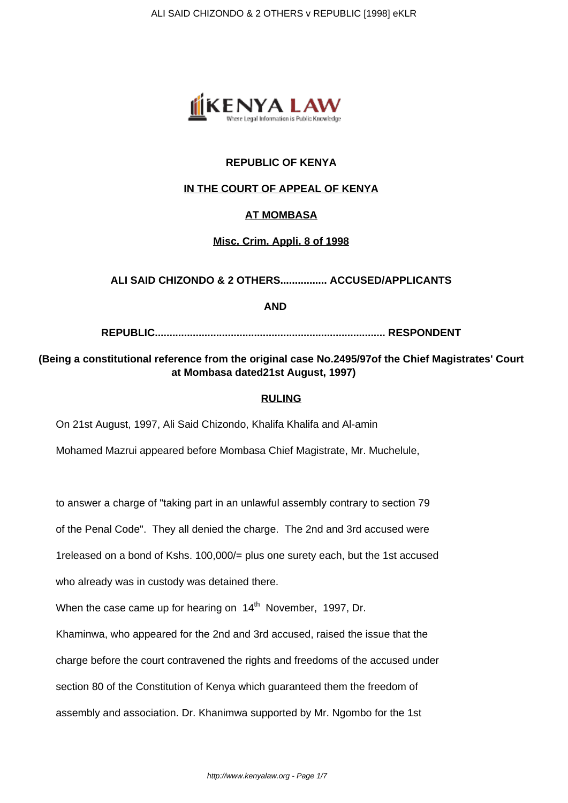

# **REPUBLIC OF KENYA**

### **IN THE COURT OF APPEAL OF KENYA**

### **AT MOMBASA**

### **Misc. Crim. Appli. 8 of 1998**

### **ALI SAID CHIZONDO & 2 OTHERS................ ACCUSED/APPLICANTS**

**AND**

**REPUBLIC............................................................................... RESPONDENT**

## **(Being a constitutional reference from the original case No.2495/97of the Chief Magistrates' Court at Mombasa dated21st August, 1997)**

#### **RULING**

On 21st August, 1997, Ali Said Chizondo, Khalifa Khalifa and Al-amin

Mohamed Mazrui appeared before Mombasa Chief Magistrate, Mr. Muchelule,

to answer a charge of "taking part in an unlawful assembly contrary to section 79

of the Penal Code". They all denied the charge. The 2nd and 3rd accused were

1released on a bond of Kshs. 100,000/= plus one surety each, but the 1st accused

who already was in custody was detained there.

When the case came up for hearing on  $14<sup>th</sup>$  November, 1997, Dr.

Khaminwa, who appeared for the 2nd and 3rd accused, raised the issue that the

charge before the court contravened the rights and freedoms of the accused under

section 80 of the Constitution of Kenya which guaranteed them the freedom of

assembly and association. Dr. Khanimwa supported by Mr. Ngombo for the 1st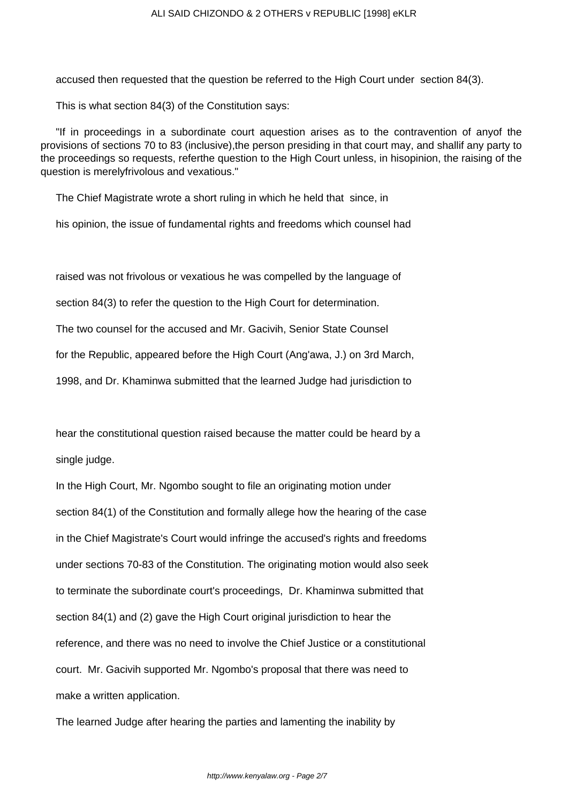accused then requested that the question be referred to the High Court under section 84(3).

This is what section 84(3) of the Constitution says:

"If in proceedings in a subordinate court aquestion arises as to the contravention of anyof the provisions of sections 70 to 83 (inclusive),the person presiding in that court may, and shallif any party to the proceedings so requests, referthe question to the High Court unless, in hisopinion, the raising of the question is merelyfrivolous and vexatious."

The Chief Magistrate wrote a short ruling in which he held that since, in

his opinion, the issue of fundamental rights and freedoms which counsel had

raised was not frivolous or vexatious he was compelled by the language of

section 84(3) to refer the question to the High Court for determination.

The two counsel for the accused and Mr. Gacivih, Senior State Counsel

for the Republic, appeared before the High Court (Ang'awa, J.) on 3rd March,

1998, and Dr. Khaminwa submitted that the learned Judge had jurisdiction to

hear the constitutional question raised because the matter could be heard by a single judge.

In the High Court, Mr. Ngombo sought to file an originating motion under section 84(1) of the Constitution and formally allege how the hearing of the case in the Chief Magistrate's Court would infringe the accused's rights and freedoms under sections 70-83 of the Constitution. The originating motion would also seek to terminate the subordinate court's proceedings, Dr. Khaminwa submitted that section 84(1) and (2) gave the High Court original jurisdiction to hear the reference, and there was no need to involve the Chief Justice or a constitutional court. Mr. Gacivih supported Mr. Ngombo's proposal that there was need to make a written application.

The learned Judge after hearing the parties and lamenting the inability by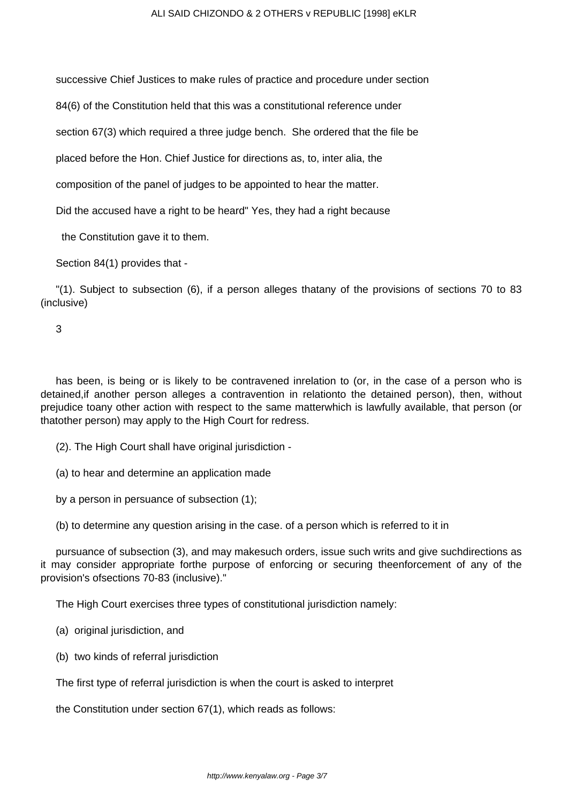successive Chief Justices to make rules of practice and procedure under section

84(6) of the Constitution held that this was a constitutional reference under

section 67(3) which required a three judge bench. She ordered that the file be

placed before the Hon. Chief Justice for directions as, to, inter alia, the

composition of the panel of judges to be appointed to hear the matter.

Did the accused have a right to be heard" Yes, they had a right because

the Constitution gave it to them.

Section 84(1) provides that -

"(1). Subject to subsection (6), if a person alleges thatany of the provisions of sections 70 to 83 (inclusive)

3

has been, is being or is likely to be contravened inrelation to (or, in the case of a person who is detained,if another person alleges a contravention in relationto the detained person), then, without prejudice toany other action with respect to the same matterwhich is lawfully available, that person (or thatother person) may apply to the High Court for redress.

(2). The High Court shall have original jurisdiction -

(a) to hear and determine an application made

by a person in persuance of subsection (1);

(b) to determine any question arising in the case. of a person which is referred to it in

pursuance of subsection (3), and may makesuch orders, issue such writs and give suchdirections as it may consider appropriate forthe purpose of enforcing or securing theenforcement of any of the provision's ofsections 70-83 (inclusive)."

The High Court exercises three types of constitutional jurisdiction namely:

(a) original jurisdiction, and

(b) two kinds of referral jurisdiction

The first type of referral jurisdiction is when the court is asked to interpret

the Constitution under section 67(1), which reads as follows: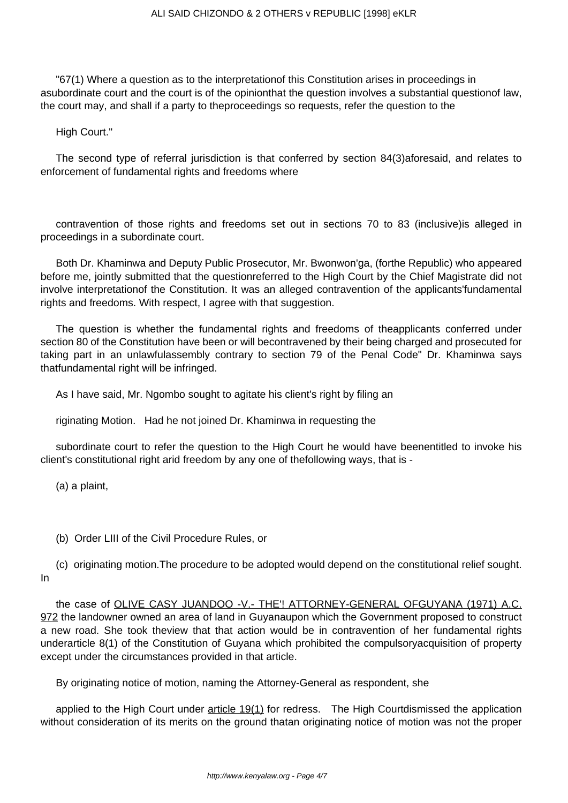"67(1) Where a question as to the interpretationof this Constitution arises in proceedings in asubordinate court and the court is of the opinionthat the question involves a substantial questionof law, the court may, and shall if a party to theproceedings so requests, refer the question to the

High Court."

The second type of referral jurisdiction is that conferred by section 84(3)aforesaid, and relates to enforcement of fundamental rights and freedoms where

contravention of those rights and freedoms set out in sections 70 to 83 (inclusive)is alleged in proceedings in a subordinate court.

Both Dr. Khaminwa and Deputy Public Prosecutor, Mr. Bwonwon'ga, (forthe Republic) who appeared before me, jointly submitted that the questionreferred to the High Court by the Chief Magistrate did not involve interpretationof the Constitution. It was an alleged contravention of the applicants'fundamental rights and freedoms. With respect, I agree with that suggestion.

The question is whether the fundamental rights and freedoms of theapplicants conferred under section 80 of the Constitution have been or will becontravened by their being charged and prosecuted for taking part in an unlawfulassembly contrary to section 79 of the Penal Code" Dr. Khaminwa says thatfundamental right will be infringed.

As I have said, Mr. Ngombo sought to agitate his client's right by filing an

riginating Motion. Had he not joined Dr. Khaminwa in requesting the

subordinate court to refer the question to the High Court he would have beenentitled to invoke his client's constitutional right arid freedom by any one of thefollowing ways, that is -

(a) a plaint,

(b) Order LIII of the Civil Procedure Rules, or

(c) originating motion.The procedure to be adopted would depend on the constitutional relief sought. In

the case of OLIVE CASY JUANDOO -V.- THE'! ATTORNEY-GENERAL OFGUYANA (1971) A.C. 972 the landowner owned an area of land in Guyanaupon which the Government proposed to construct a new road. She took theview that that action would be in contravention of her fundamental rights underarticle 8(1) of the Constitution of Guyana which prohibited the compulsoryacquisition of property except under the circumstances provided in that article.

By originating notice of motion, naming the Attorney-General as respondent, she

applied to the High Court under  $\frac{\text{article 19(1)}}{\text{for red}$  for redress. The High Courtdismissed the application without consideration of its merits on the ground thatan originating notice of motion was not the proper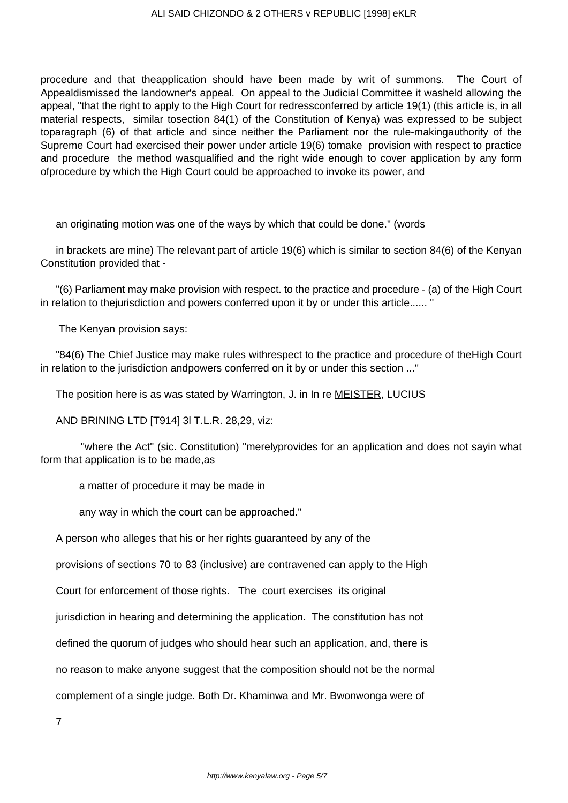procedure and that theapplication should have been made by writ of summons. The Court of Appealdismissed the landowner's appeal. On appeal to the Judicial Committee it washeld allowing the appeal, "that the right to apply to the High Court for redressconferred by article 19(1) (this article is, in all material respects, similar tosection 84(1) of the Constitution of Kenya) was expressed to be subject toparagraph (6) of that article and since neither the Parliament nor the rule-makingauthority of the Supreme Court had exercised their power under article 19(6) tomake provision with respect to practice and procedure the method wasqualified and the right wide enough to cover application by any form ofprocedure by which the High Court could be approached to invoke its power, and

an originating motion was one of the ways by which that could be done." (words

in brackets are mine) The relevant part of article 19(6) which is similar to section 84(6) of the Kenyan Constitution provided that -

"(6) Parliament may make provision with respect. to the practice and procedure - (a) of the High Court in relation to thejurisdiction and powers conferred upon it by or under this article...... "

The Kenyan provision says:

"84(6) The Chief Justice may make rules withrespect to the practice and procedure of theHigh Court in relation to the jurisdiction andpowers conferred on it by or under this section ..."

The position here is as was stated by Warrington, J. in In re MEISTER, LUCIUS

AND BRINING LTD [T914] 3l T.L.R. 28,29, viz:

 "where the Act" (sic. Constitution) "merelyprovides for an application and does not sayin what form that application is to be made,as

a matter of procedure it may be made in

any way in which the court can be approached."

A person who alleges that his or her rights guaranteed by any of the

provisions of sections 70 to 83 (inclusive) are contravened can apply to the High

Court for enforcement of those rights. The court exercises its original

jurisdiction in hearing and determining the application. The constitution has not

defined the quorum of judges who should hear such an application, and, there is

no reason to make anyone suggest that the composition should not be the normal

complement of a single judge. Both Dr. Khaminwa and Mr. Bwonwonga were of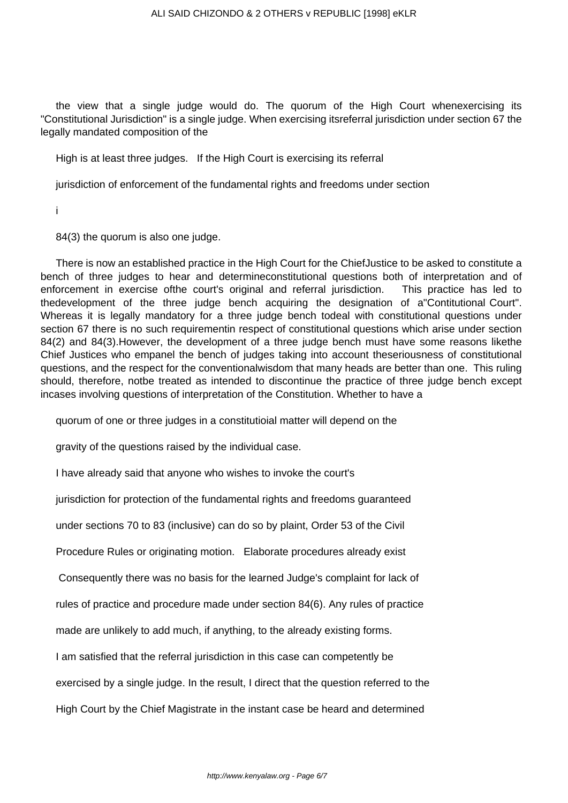the view that a single judge would do. The quorum of the High Court whenexercising its "Constitutional Jurisdiction" is a single judge. When exercising itsreferral jurisdiction under section 67 the legally mandated composition of the

High is at least three judges. If the High Court is exercising its referral

jurisdiction of enforcement of the fundamental rights and freedoms under section

i

84(3) the quorum is also one judge.

There is now an established practice in the High Court for the ChiefJustice to be asked to constitute a bench of three judges to hear and determineconstitutional questions both of interpretation and of enforcement in exercise ofthe court's original and referral jurisdiction. This practice has led to thedevelopment of the three judge bench acquiring the designation of a"Contitutional Court". Whereas it is legally mandatory for a three judge bench todeal with constitutional questions under section 67 there is no such requirementin respect of constitutional questions which arise under section 84(2) and 84(3).However, the development of a three judge bench must have some reasons likethe Chief Justices who empanel the bench of judges taking into account theseriousness of constitutional questions, and the respect for the conventionalwisdom that many heads are better than one. This ruling should, therefore, notbe treated as intended to discontinue the practice of three judge bench except incases involving questions of interpretation of the Constitution. Whether to have a

quorum of one or three judges in a constitutioial matter will depend on the

gravity of the questions raised by the individual case.

I have already said that anyone who wishes to invoke the court's

jurisdiction for protection of the fundamental rights and freedoms guaranteed

under sections 70 to 83 (inclusive) can do so by plaint, Order 53 of the Civil

Procedure Rules or originating motion. Elaborate procedures already exist

Consequently there was no basis for the learned Judge's complaint for lack of

rules of practice and procedure made under section 84(6). Any rules of practice

made are unlikely to add much, if anything, to the already existing forms.

I am satisfied that the referral jurisdiction in this case can competently be

exercised by a single judge. In the result, I direct that the question referred to the

High Court by the Chief Magistrate in the instant case be heard and determined